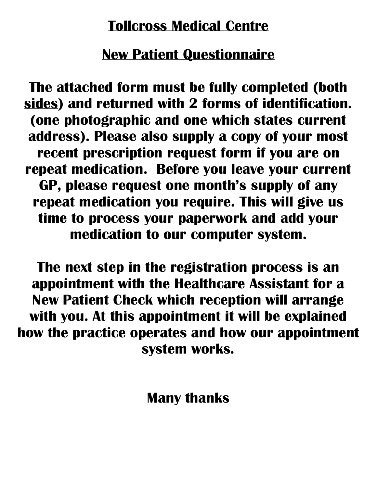# **Tollcross Medical Centre**

# **New Patient Questionnaire**

**The attached form must be fully completed (both sides) and returned with 2 forms of identification. (one photographic and one which states current address). Please also supply a copy of your most recent prescription request form if you are on repeat medication. Before you leave your current GP, please request one month's supply of any repeat medication you require. This will give us time to process your paperwork and add your medication to our computer system.**

**The next step in the registration process is an appointment with the Healthcare Assistant for a New Patient Check which reception will arrange with you. At this appointment it will be explained how the practice operates and how our appointment system works.** 

**Many thanks**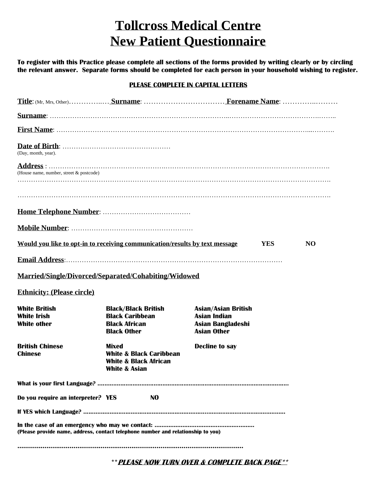## **Tollcross Medical Centre New Patient Questionnaire**

**To register with this Practice please complete all sections of the forms provided by writing clearly or by circling the relevant answer. Separate forms should be completed for each person in your household wishing to register.**

#### **PLEASE COMPLETE IN CAPITAL LETTERS**

| (Day, month, year).                                                              |                                                                                                             |                                                                                              |  |
|----------------------------------------------------------------------------------|-------------------------------------------------------------------------------------------------------------|----------------------------------------------------------------------------------------------|--|
| (House name, number, street & postcode)                                          |                                                                                                             |                                                                                              |  |
|                                                                                  |                                                                                                             |                                                                                              |  |
|                                                                                  |                                                                                                             |                                                                                              |  |
|                                                                                  |                                                                                                             |                                                                                              |  |
|                                                                                  |                                                                                                             |                                                                                              |  |
| Would you like to opt-in to receiving communication/results by text message      |                                                                                                             | <b>YES</b><br><b>NO</b>                                                                      |  |
|                                                                                  |                                                                                                             |                                                                                              |  |
|                                                                                  |                                                                                                             |                                                                                              |  |
| Married/Single/Divorced/Separated/Cohabiting/Widowed                             |                                                                                                             |                                                                                              |  |
| <b>Ethnicity: (Please circle)</b>                                                |                                                                                                             |                                                                                              |  |
| <b>White British</b><br><b>White Irish</b><br><b>White other</b>                 | <b>Black/Black British</b><br><b>Black Caribbean</b><br><b>Black African</b><br><b>Black Other</b>          | <b>Asian/Asian British</b><br><b>Asian Indian</b><br>Asian Bangladeshi<br><b>Asian Other</b> |  |
| <b>British Chinese</b><br><b>Chinese</b>                                         | Mixed<br><b>White &amp; Black Caribbean</b><br><b>White &amp; Black African</b><br><b>White &amp; Asian</b> | <b>Decline to say</b>                                                                        |  |
|                                                                                  |                                                                                                             |                                                                                              |  |
| Do you require an interpreter? YES                                               | N <sub>0</sub>                                                                                              |                                                                                              |  |
|                                                                                  |                                                                                                             |                                                                                              |  |
| (Please provide name, address, contact telephone number and relationship to you) |                                                                                                             |                                                                                              |  |
|                                                                                  |                                                                                                             |                                                                                              |  |

**\*\*PLEASE NOW TURN OVER & COMPLETE BACK PAGE\*\***